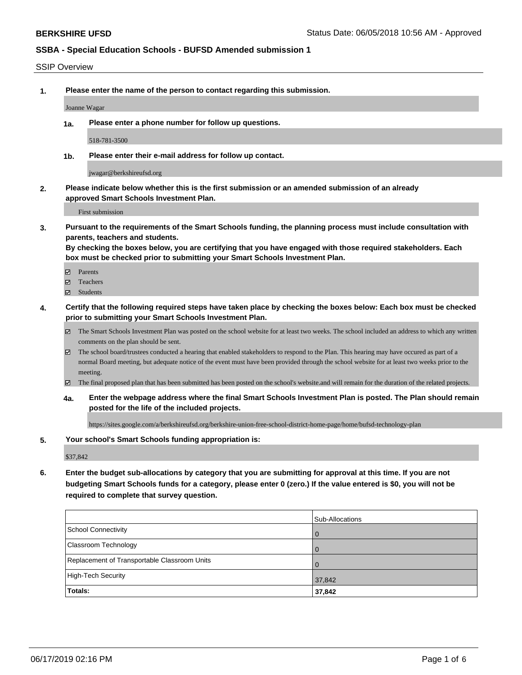#### SSIP Overview

**1. Please enter the name of the person to contact regarding this submission.**

Joanne Wagar

**1a. Please enter a phone number for follow up questions.**

518-781-3500

**1b. Please enter their e-mail address for follow up contact.**

jwagar@berkshireufsd.org

**2. Please indicate below whether this is the first submission or an amended submission of an already approved Smart Schools Investment Plan.**

First submission

**3. Pursuant to the requirements of the Smart Schools funding, the planning process must include consultation with parents, teachers and students.**

**By checking the boxes below, you are certifying that you have engaged with those required stakeholders. Each box must be checked prior to submitting your Smart Schools Investment Plan.**

- Parents
- Teachers
- Students
- **4. Certify that the following required steps have taken place by checking the boxes below: Each box must be checked prior to submitting your Smart Schools Investment Plan.**
	- The Smart Schools Investment Plan was posted on the school website for at least two weeks. The school included an address to which any written comments on the plan should be sent.
	- The school board/trustees conducted a hearing that enabled stakeholders to respond to the Plan. This hearing may have occured as part of a normal Board meeting, but adequate notice of the event must have been provided through the school website for at least two weeks prior to the meeting.
	- The final proposed plan that has been submitted has been posted on the school's website.and will remain for the duration of the related projects.
	- **4a. Enter the webpage address where the final Smart Schools Investment Plan is posted. The Plan should remain posted for the life of the included projects.**

https://sites.google.com/a/berkshireufsd.org/berkshire-union-free-school-district-home-page/home/bufsd-technology-plan

#### **5. Your school's Smart Schools funding appropriation is:**

\$37,842

**6. Enter the budget sub-allocations by category that you are submitting for approval at this time. If you are not budgeting Smart Schools funds for a category, please enter 0 (zero.) If the value entered is \$0, you will not be required to complete that survey question.**

|                                              | Sub-Allocations |
|----------------------------------------------|-----------------|
| School Connectivity                          | <b>O</b>        |
| <b>Classroom Technology</b>                  | $\overline{0}$  |
| Replacement of Transportable Classroom Units | $\Omega$        |
| High-Tech Security                           | 37,842          |
| Totals:                                      | 37,842          |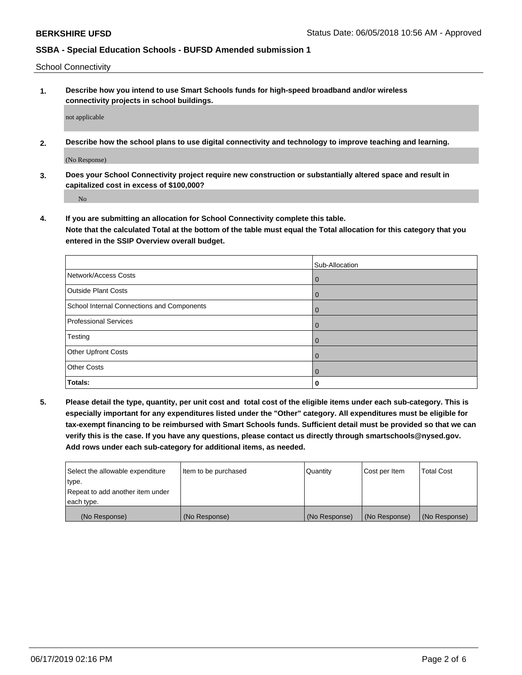School Connectivity

**1. Describe how you intend to use Smart Schools funds for high-speed broadband and/or wireless connectivity projects in school buildings.**

not applicable

**2. Describe how the school plans to use digital connectivity and technology to improve teaching and learning.**

(No Response)

**3. Does your School Connectivity project require new construction or substantially altered space and result in capitalized cost in excess of \$100,000?**

No

**4. If you are submitting an allocation for School Connectivity complete this table.**

**Note that the calculated Total at the bottom of the table must equal the Total allocation for this category that you entered in the SSIP Overview overall budget.** 

|                                            | Sub-Allocation |
|--------------------------------------------|----------------|
| Network/Access Costs                       | $\mathbf 0$    |
| <b>Outside Plant Costs</b>                 | $\mathbf 0$    |
| School Internal Connections and Components | $\Omega$       |
| <b>Professional Services</b>               | $\Omega$       |
| Testing                                    | $\mathbf 0$    |
| Other Upfront Costs                        | $\Omega$       |
| <b>Other Costs</b>                         | $\Omega$       |
| Totals:                                    | 0              |

**5. Please detail the type, quantity, per unit cost and total cost of the eligible items under each sub-category. This is especially important for any expenditures listed under the "Other" category. All expenditures must be eligible for tax-exempt financing to be reimbursed with Smart Schools funds. Sufficient detail must be provided so that we can verify this is the case. If you have any questions, please contact us directly through smartschools@nysed.gov. Add rows under each sub-category for additional items, as needed.**

| Select the allowable expenditure | lltem to be purchased | Quantity      | Cost per Item | <b>Total Cost</b> |
|----------------------------------|-----------------------|---------------|---------------|-------------------|
| type.                            |                       |               |               |                   |
| Repeat to add another item under |                       |               |               |                   |
| each type.                       |                       |               |               |                   |
| (No Response)                    | (No Response)         | (No Response) | (No Response) | (No Response)     |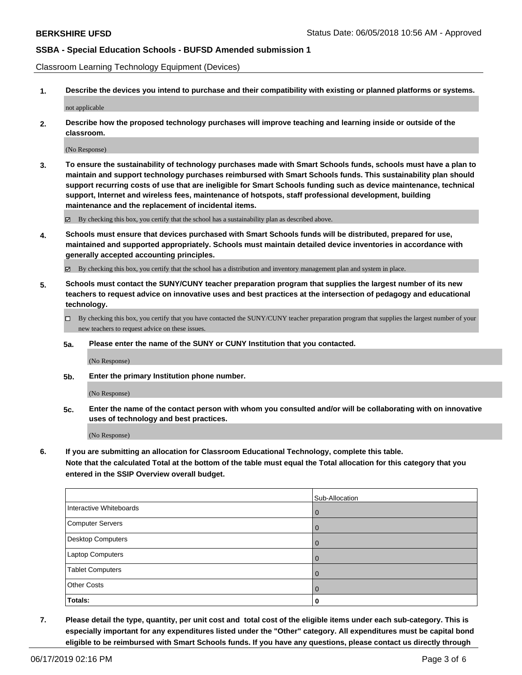Classroom Learning Technology Equipment (Devices)

**1. Describe the devices you intend to purchase and their compatibility with existing or planned platforms or systems.**

not applicable

**2. Describe how the proposed technology purchases will improve teaching and learning inside or outside of the classroom.**

(No Response)

**3. To ensure the sustainability of technology purchases made with Smart Schools funds, schools must have a plan to maintain and support technology purchases reimbursed with Smart Schools funds. This sustainability plan should support recurring costs of use that are ineligible for Smart Schools funding such as device maintenance, technical support, Internet and wireless fees, maintenance of hotspots, staff professional development, building maintenance and the replacement of incidental items.**

By checking this box, you certify that the school has a sustainability plan as described above.

**4. Schools must ensure that devices purchased with Smart Schools funds will be distributed, prepared for use, maintained and supported appropriately. Schools must maintain detailed device inventories in accordance with generally accepted accounting principles.**

By checking this box, you certify that the school has a distribution and inventory management plan and system in place.

- **5. Schools must contact the SUNY/CUNY teacher preparation program that supplies the largest number of its new teachers to request advice on innovative uses and best practices at the intersection of pedagogy and educational technology.**
	- By checking this box, you certify that you have contacted the SUNY/CUNY teacher preparation program that supplies the largest number of your new teachers to request advice on these issues.
	- **5a. Please enter the name of the SUNY or CUNY Institution that you contacted.**

(No Response)

**5b. Enter the primary Institution phone number.**

(No Response)

**5c. Enter the name of the contact person with whom you consulted and/or will be collaborating with on innovative uses of technology and best practices.**

(No Response)

**6. If you are submitting an allocation for Classroom Educational Technology, complete this table.**

**Note that the calculated Total at the bottom of the table must equal the Total allocation for this category that you entered in the SSIP Overview overall budget.**

|                          | Sub-Allocation |
|--------------------------|----------------|
| Interactive Whiteboards  | $\Omega$       |
| Computer Servers         |                |
| <b>Desktop Computers</b> | $\Omega$       |
| <b>Laptop Computers</b>  |                |
| <b>Tablet Computers</b>  |                |
| <b>Other Costs</b>       |                |
| Totals:                  | 0              |

**7. Please detail the type, quantity, per unit cost and total cost of the eligible items under each sub-category. This is especially important for any expenditures listed under the "Other" category. All expenditures must be capital bond eligible to be reimbursed with Smart Schools funds. If you have any questions, please contact us directly through**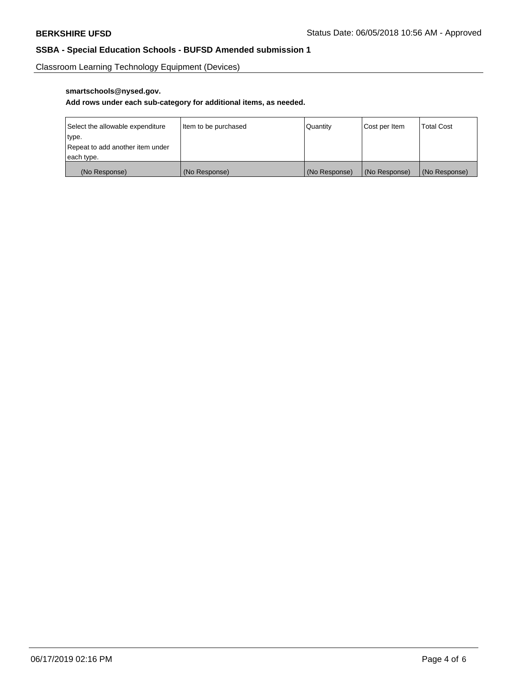Classroom Learning Technology Equipment (Devices)

## **smartschools@nysed.gov.**

#### **Add rows under each sub-category for additional items, as needed.**

| Select the allowable expenditure | Item to be purchased | <b>Quantity</b> | Cost per Item   | <b>Total Cost</b> |
|----------------------------------|----------------------|-----------------|-----------------|-------------------|
| type.                            |                      |                 |                 |                   |
| Repeat to add another item under |                      |                 |                 |                   |
| each type.                       |                      |                 |                 |                   |
| (No Response)                    | (No Response)        | (No Response)   | l (No Response) | (No Response)     |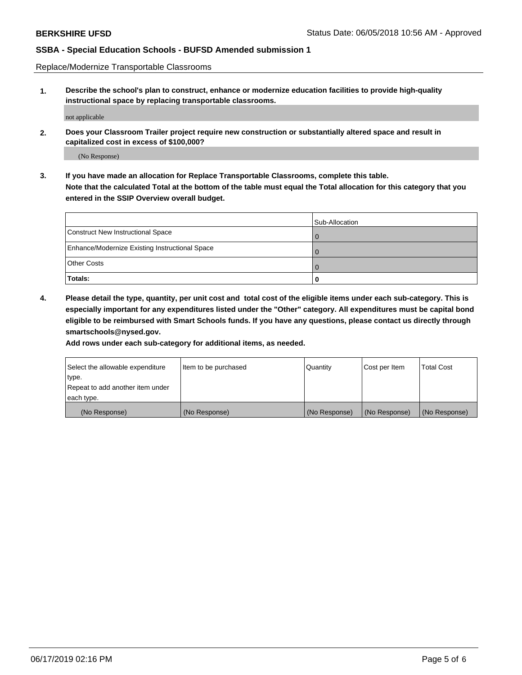Replace/Modernize Transportable Classrooms

**1. Describe the school's plan to construct, enhance or modernize education facilities to provide high-quality instructional space by replacing transportable classrooms.**

not applicable

**2. Does your Classroom Trailer project require new construction or substantially altered space and result in capitalized cost in excess of \$100,000?**

(No Response)

**3. If you have made an allocation for Replace Transportable Classrooms, complete this table. Note that the calculated Total at the bottom of the table must equal the Total allocation for this category that you entered in the SSIP Overview overall budget.**

|                                                | Sub-Allocation |
|------------------------------------------------|----------------|
| Construct New Instructional Space              |                |
| Enhance/Modernize Existing Instructional Space |                |
| <b>Other Costs</b>                             |                |
| Totals:                                        |                |

**4. Please detail the type, quantity, per unit cost and total cost of the eligible items under each sub-category. This is especially important for any expenditures listed under the "Other" category. All expenditures must be capital bond eligible to be reimbursed with Smart Schools funds. If you have any questions, please contact us directly through smartschools@nysed.gov.**

**Add rows under each sub-category for additional items, as needed.**

| Select the allowable expenditure | lltem to be purchased | Quantity      | Cost per Item | <b>Total Cost</b> |
|----------------------------------|-----------------------|---------------|---------------|-------------------|
| type.                            |                       |               |               |                   |
| Repeat to add another item under |                       |               |               |                   |
| each type.                       |                       |               |               |                   |
| (No Response)                    | (No Response)         | (No Response) | (No Response) | (No Response)     |